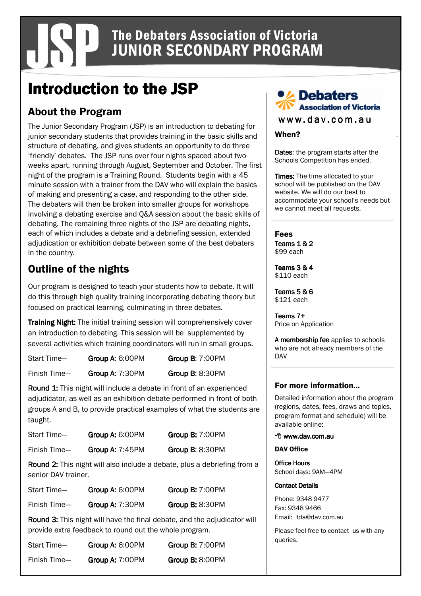# JSP The Debaters Association of Victoria JUNIOR SECONDARY PROGRAM

# Introduction to the JSP

## About the Program

The Junior Secondary Program (JSP) is an introduction to debating for junior secondary students that provides training in the basic skills and structure of debating, and gives students an opportunity to do three 'friendly' debates. The JSP runs over four nights spaced about two weeks apart, running through August, September and October. The first night of the program is a Training Round. Students begin with a 45 minute session with a trainer from the DAV who will explain the basics of making and presenting a case, and responding to the other side. The debaters will then be broken into smaller groups for workshops involving a debating exercise and Q&A session about the basic skills of debating. The remaining three nights of the JSP are debating nights, each of which includes a debate and a debriefing session, extended adjudication or exhibition debate between some of the best debaters in the country.

## Outline of the nights

Our program is designed to teach your students how to debate. It will do this through high quality training incorporating debating theory but focused on practical learning, culminating in three debates.

**Training Night:** The initial training session will comprehensively cover an introduction to debating. This session will be supplemented by several activities which training coordinators will run in small groups.

| Start Time-  | Group A: 6:00PM | Group B: 7:00PM |
|--------------|-----------------|-----------------|
| Finish Time- | Group A: 7:30PM | Group B: 8:30PM |

Round 1: This night will include a debate in front of an experienced adjudicator, as well as an exhibition debate performed in front of both groups A and B, to provide practical examples of what the students are taught.

| Start Time-  | Group A: 6:00PM        | Group B: 7:00PM |
|--------------|------------------------|-----------------|
| Finish Time- | <b>Group A: 7:45PM</b> | Group B: 8:30PM |

**Round 2:** This night will also include a debate, plus a debriefing from a senior DAV trainer.

| Start Time-  | Group A: 6:00PM | Group B: 7:00PM        |
|--------------|-----------------|------------------------|
| Finish Time- | Group A: 7:30PM | <b>Group B: 8:30PM</b> |

Round 3: This night will have the final debate, and the adjudicator will provide extra feedback to round out the whole program.

| Start Time-  | Group A: 6:00PM | Group B: 7:00PM |
|--------------|-----------------|-----------------|
| Finish Time- | Group A: 7:00PM | Group B: 8:00PM |

### **Debaters** ssociation of Victoria

 $www.dav.com.a u$ 

#### When?

Dates: the program starts after the Schools Competition has ended.

**Times:** The time allocated to your school will be published on the DAV website. We will do our best to accommodate your school's needs but we cannot meet all requests.

### Fees

Teams  $1 & 2$ \$99 each

Teams  $3 & 4$ \$110 each

Teams  $5 & 6$ \$121 each

Teams  $7+$ Price on Application

A membership fee applies to schools who are not already members of the DAV

#### For more information...

Detailed information about the program (regions, dates, fees, draws and topics, program format and schedule) will be available online:

#### <sup>个</sup> www.dav.com.au

#### DAV Office

**Office Hours** School days: 9AM—4PM

#### **Contact Details**

Phone: 9348 9477 Fax: 9348 9466 Email: tda@dav.com.au

Please feel free to contact us with any queries.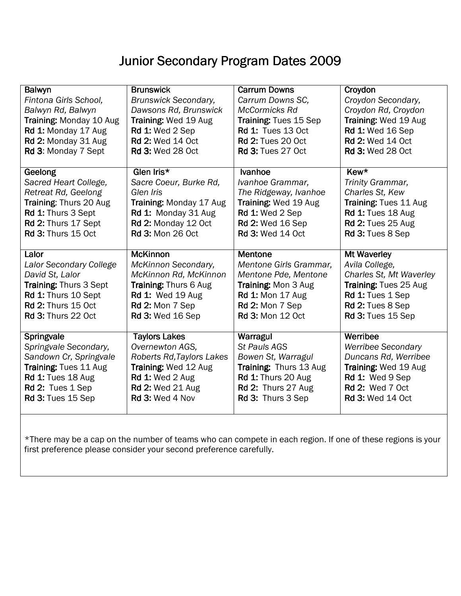# Junior Secondary Program Dates 2009

| Balwyn                        | <b>Brunswick</b>             | <b>Carrum Downs</b>          | Croydon                   |
|-------------------------------|------------------------------|------------------------------|---------------------------|
| Fintona Girls School,         | <b>Brunswick Secondary,</b>  | Carrum Downs SC,             | Croydon Secondary,        |
| Balwyn Rd, Balwyn             | Dawsons Rd, Brunswick        | McCormicks Rd                | Croydon Rd, Croydon       |
| Training: Monday 10 Aug       | Training: Wed 19 Aug         | <b>Training: Tues 15 Sep</b> | Training: Wed 19 Aug      |
| Rd 1: Monday 17 Aug           | Rd 1: Wed 2 Sep              | <b>Rd 1: Tues 13 Oct</b>     | Rd 1: Wed 16 Sep          |
| Rd 2: Monday 31 Aug           | <b>Rd 2: Wed 14 Oct</b>      | <b>Rd 2: Tues 20 Oct</b>     | <b>Rd 2: Wed 14 Oct</b>   |
| Rd 3: Monday 7 Sept           | <b>Rd 3: Wed 28 Oct</b>      | <b>Rd 3: Tues 27 Oct</b>     | <b>Rd 3: Wed 28 Oct</b>   |
| Geelong                       | Glen Iris*                   | Ivanhoe                      | Kew*                      |
| Sacred Heart College,         | Sacre Coeur, Burke Rd,       | Ivanhoe Grammar,             | Trinity Grammar,          |
| Retreat Rd, Geelong           | Glen Iris                    | The Ridgeway, Ivanhoe        | Charles St, Kew           |
| Training: Thurs 20 Aug        | Training: Monday 17 Aug      | Training: Wed 19 Aug         | Training: Tues 11 Aug     |
| Rd 1: Thurs 3 Sept            | Rd 1: Monday 31 Aug          | <b>Rd 1: Wed 2 Sep</b>       | <b>Rd 1: Tues 18 Aug</b>  |
| Rd 2: Thurs 17 Sept           | Rd 2: Monday 12 Oct          | <b>Rd 2: Wed 16 Sep</b>      | <b>Rd 2: Tues 25 Aug</b>  |
| Rd 3: Thurs 15 Oct            | <b>Rd 3: Mon 26 Oct</b>      | <b>Rd 3: Wed 14 Oct</b>      | Rd 3: Tues 8 Sep          |
|                               |                              |                              |                           |
| Lalor                         | <b>McKinnon</b>              | <b>Mentone</b>               | <b>Mt Waverley</b>        |
| Lalor Secondary College       | McKinnon Secondary,          | Mentone Girls Grammar,       | Avila College,            |
| David St, Lalor               | McKinnon Rd, McKinnon        | Mentone Pde, Mentone         | Charles St, Mt Waverley   |
| <b>Training: Thurs 3 Sept</b> | <b>Training: Thurs 6 Aug</b> | Training: Mon 3 Aug          | Training: Tues 25 Aug     |
| Rd 1: Thurs 10 Sept           | <b>Rd 1: Wed 19 Aug</b>      | <b>Rd 1: Mon 17 Aug</b>      | Rd 1: Tues 1 Sep          |
| <b>Rd 2: Thurs 15 Oct</b>     | Rd 2: Mon 7 Sep              | Rd 2: Mon 7 Sep              | Rd 2: Tues 8 Sep          |
| <b>Rd 3: Thurs 22 Oct</b>     | <b>Rd 3: Wed 16 Sep</b>      | <b>Rd 3: Mon 12 Oct</b>      | <b>Rd 3: Tues 15 Sep</b>  |
|                               |                              |                              |                           |
| Springvale                    | <b>Taylors Lakes</b>         | Warragul                     | Werribee                  |
| Springvale Secondary,         | Overnewton AGS,              | <b>St Pauls AGS</b>          | <b>Werribee Secondary</b> |
| Sandown Cr, Springvale        | Roberts Rd, Taylors Lakes    | Bowen St, Warragul           | Duncans Rd, Werribee      |
| Training: Tues 11 Aug         | Training: Wed 12 Aug         | Training: Thurs 13 Aug       | Training: Wed 19 Aug      |
| <b>Rd 1: Tues 18 Aug</b>      | <b>Rd 1: Wed 2 Aug</b>       | <b>Rd 1: Thurs 20 Aug</b>    | Rd 1: Wed 9 Sep           |
| Rd 2: Tues 1 Sep              | <b>Rd 2: Wed 21 Aug</b>      | Rd 2: Thurs 27 Aug           | Rd 2: Wed 7 Oct           |
| Rd 3: Tues 15 Sep             | Rd 3: Wed 4 Nov              | Rd 3: Thurs 3 Sep            | <b>Rd 3: Wed 14 Oct</b>   |
|                               |                              |                              |                           |

\*There may be a cap on the number of teams who can compete in each region. If one of these regions is your first preference please consider your second preference carefully.